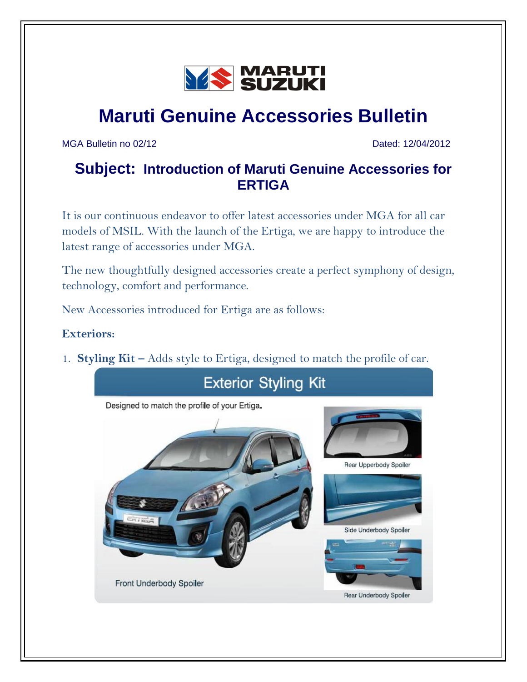

# **Maruti Genuine Accessories Bulletin**

MGA Bulletin no 02/12 Dated: 12/04/2012

## **Subject: Introduction of Maruti Genuine Accessories for ERTIGA**

It is our continuous endeavor to offer latest accessories under MGA for all car models of MSIL. With the launch of the Ertiga, we are happy to introduce the latest range of accessories under MGA.

The new thoughtfully designed accessories create a perfect symphony of design, technology, comfort and performance.

New Accessories introduced for Ertiga are as follows:

#### **Exteriors:**

1. **Styling Kit –** Adds style to Ertiga, designed to match the profile of car.

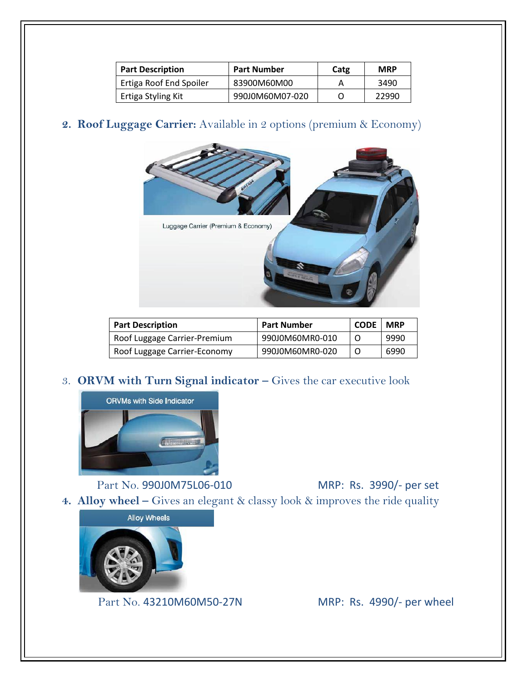| <b>Part Number</b><br><b>Part Description</b> |                 | Catg | <b>MRP</b> |
|-----------------------------------------------|-----------------|------|------------|
| Ertiga Roof End Spoiler                       | 83900M60M00     |      | 3490       |
| Ertiga Styling Kit                            | 990J0M60M07-020 |      | 22990      |

#### **2. Roof Luggage Carrier:** Available in 2 options (premium & Economy)



| <b>Part Description</b>      | <b>Part Number</b> | <b>CODE</b> | <b>MRP</b> |
|------------------------------|--------------------|-------------|------------|
| Roof Luggage Carrier-Premium | 990J0M60MR0-010    |             | 9990       |
| Roof Luggage Carrier-Economy | 990J0M60MR0-020    |             | 6990       |

#### 3. **ORVM with Turn Signal indicator –** Gives the car executive look



Part No. 990J0M75L06-010 MRP: Rs. 3990/- per set **4. Alloy wheel –** Gives an elegant & classy look & improves the ride quality



Part No. 43210M60M50-27N MRP: Rs. 4990/- per wheel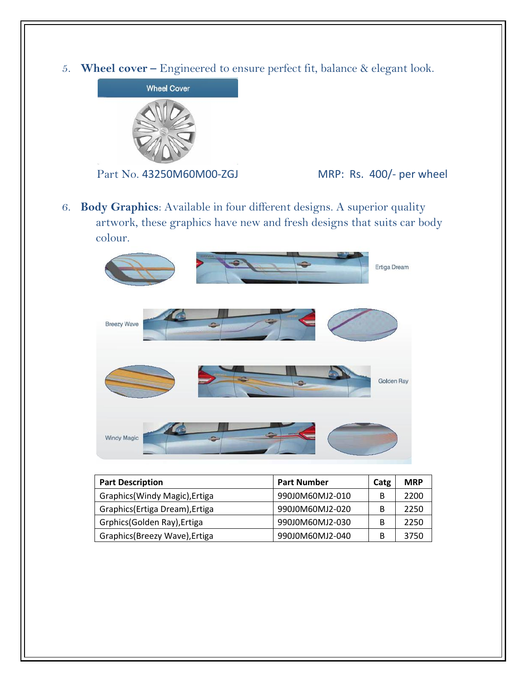5. **Wheel cover –** Engineered to ensure perfect fit, balance & elegant look.





6. **Body Graphics**: Available in four different designs. A superior quality artwork, these graphics have new and fresh designs that suits car body colour.



| <b>Part Description</b>         | <b>Part Number</b> | Catg | <b>MRP</b> |
|---------------------------------|--------------------|------|------------|
| Graphics (Windy Magic), Ertiga  | 990J0M60MJ2-010    | B    | 2200       |
| Graphics (Ertiga Dream), Ertiga | 990J0M60MJ2-020    | B    | 2250       |
| Grphics(Golden Ray), Ertiga     | 990J0M60MJ2-030    | B    | 2250       |
| Graphics(Breezy Wave), Ertiga   | 990J0M60MJ2-040    | В    | 3750       |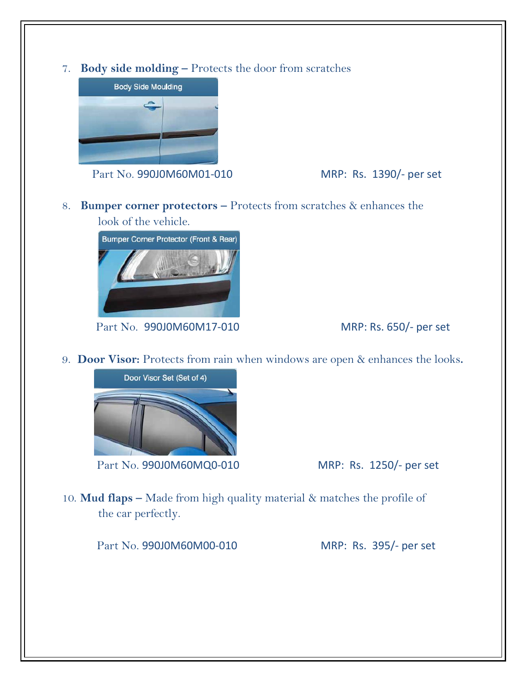7. **Body side molding –** Protects the door from scratches



Part No. 990J0M60M01-010 MRP: Rs. 1390/- per set

8. **Bumper corner protectors –** Protects from scratches & enhances the look of the vehicle.



Part No. 990J0M60M17-010 MRP: Rs. 650/- per set

9. **Door Visor:** Protects from rain when windows are open & enhances the looks**.**



Part No. 990J0M60MQ0-010 MRP: Rs. 1250/- per set

10. **Mud flaps –** Made from high quality material & matches the profile of the car perfectly.

Part No. 990J0M60M00-010 MRP: Rs. 395/- per set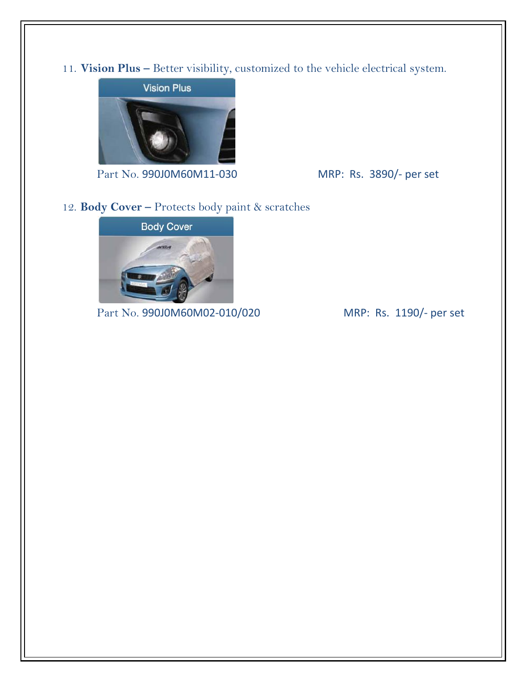11. **Vision Plus –** Better visibility, customized to the vehicle electrical system.



Part No. 990J0M60M11-030 MRP: Rs. 3890/- per set

#### 12. **Body Cover –** Protects body paint & scratches



Part No. 990J0M60M02-010/020 MRP: Rs. 1190/- per set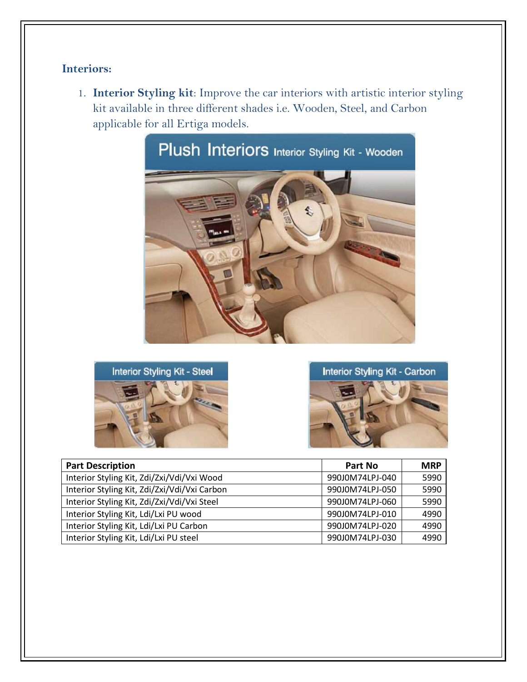### **Interiors:**

1. **Interior Styling kit**: Improve the car interiors with artistic interior styling kit available in three different shades i.e. Wooden, Steel, and Carbon applicable for all Ertiga models.









| <b>Part Description</b>                      | Part No         | <b>MRP</b> |
|----------------------------------------------|-----------------|------------|
| Interior Styling Kit, Zdi/Zxi/Vdi/Vxi Wood   | 990J0M74LPJ-040 | 5990       |
| Interior Styling Kit, Zdi/Zxi/Vdi/Vxi Carbon | 990J0M74LPJ-050 | 5990       |
| Interior Styling Kit, Zdi/Zxi/Vdi/Vxi Steel  | 990J0M74LPJ-060 | 5990       |
| Interior Styling Kit, Ldi/Lxi PU wood        | 990J0M74LPJ-010 | 4990       |
| Interior Styling Kit, Ldi/Lxi PU Carbon      | 990J0M74LPJ-020 | 4990       |
| Interior Styling Kit, Ldi/Lxi PU steel       | 990J0M74LPJ-030 | 4990       |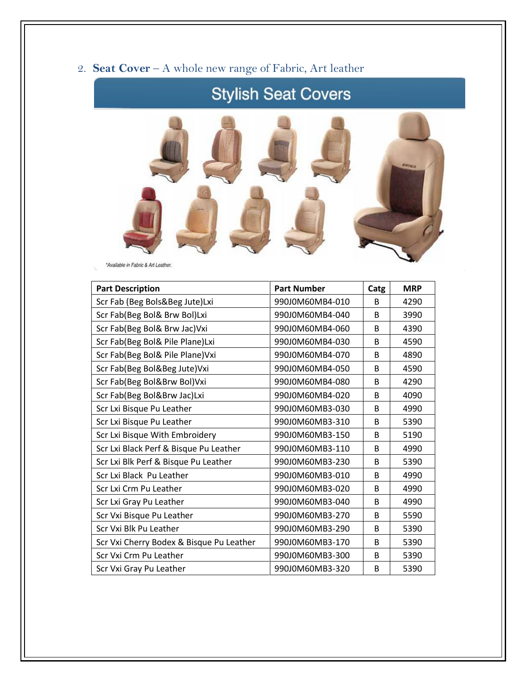## 2. **Seat Cover** – A whole new range of Fabric, Art leather

# **Stylish Seat Covers**



\*Available in Fabric & Art Leather.

| <b>Part Description</b>                  | <b>Part Number</b> | Catg         | <b>MRP</b> |
|------------------------------------------|--------------------|--------------|------------|
| Scr Fab (Beg Bols&Beg Jute)Lxi           | 990J0M60MB4-010    | <sub>B</sub> | 4290       |
| Scr Fab(Beg Bol& Brw Bol)Lxi             | 990J0M60MB4-040    | B            | 3990       |
| Scr Fab(Beg Bol& Brw Jac) Vxi            | 990J0M60MB4-060    | B            | 4390       |
| Scr Fab(Beg Bol& Pile Plane)Lxi          | 990J0M60MB4-030    | B            | 4590       |
| Scr Fab(Beg Bol& Pile Plane) Vxi         | 990J0M60MB4-070    | B            | 4890       |
| Scr Fab(Beg Bol&Beg Jute)Vxi             | 990J0M60MB4-050    | B            | 4590       |
| Scr Fab(Beg Bol&Brw Bol)Vxi              | 990J0M60MB4-080    | <sub>B</sub> | 4290       |
| Scr Fab(Beg Bol&Brw Jac)Lxi              | 990J0M60MB4-020    | B            | 4090       |
| Scr Lxi Bisque Pu Leather                | 990J0M60MB3-030    | B            | 4990       |
| Scr Lxi Bisque Pu Leather                | 990J0M60MB3-310    | <sub>B</sub> | 5390       |
| Scr Lxi Bisque With Embroidery           | 990J0M60MB3-150    | B            | 5190       |
| Scr Lxi Black Perf & Bisque Pu Leather   | 990J0M60MB3-110    | B            | 4990       |
| Scr Lxi Blk Perf & Bisque Pu Leather     | 990J0M60MB3-230    | B            | 5390       |
| Scr Lxi Black Pu Leather                 | 990J0M60MB3-010    | B            | 4990       |
| Scr Lxi Crm Pu Leather                   | 990J0M60MB3-020    | B            | 4990       |
| Scr Lxi Gray Pu Leather                  | 990J0M60MB3-040    | <sub>B</sub> | 4990       |
| Scr Vxi Bisque Pu Leather                | 990J0M60MB3-270    | B            | 5590       |
| Scr Vxi Blk Pu Leather                   | 990J0M60MB3-290    | <sub>B</sub> | 5390       |
| Scr Vxi Cherry Bodex & Bisque Pu Leather | 990J0M60MB3-170    | B            | 5390       |
| Scr Vxi Crm Pu Leather                   | 990J0M60MB3-300    | <sub>B</sub> | 5390       |
| Scr Vxi Gray Pu Leather                  | 990J0M60MB3-320    | B            | 5390       |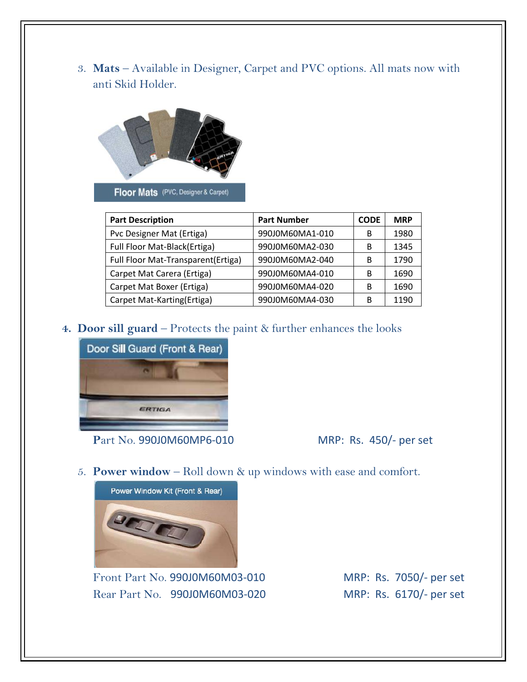3. **Mats** – Available in Designer, Carpet and PVC options. All mats now with anti Skid Holder.



Floor Mats (PVC, Designer & Carpet)

| <b>Part Description</b>            | <b>Part Number</b> | <b>CODE</b> | <b>MRP</b> |
|------------------------------------|--------------------|-------------|------------|
| Pvc Designer Mat (Ertiga)          | 990J0M60MA1-010    | В           | 1980       |
| Full Floor Mat-Black(Ertiga)       | 990J0M60MA2-030    | В           | 1345       |
| Full Floor Mat-Transparent(Ertiga) | 990J0M60MA2-040    | B           | 1790       |
| Carpet Mat Carera (Ertiga)         | 990J0M60MA4-010    | В           | 1690       |
| Carpet Mat Boxer (Ertiga)          | 990J0M60MA4-020    | В           | 1690       |
| Carpet Mat-Karting(Ertiga)         | 990J0M60MA4-030    | В           | 1190       |

**4. Door sill guard** – Protects the paint & further enhances the looks



**P**art No. 990J0M60MP6-010 MRP: Rs. 450/- per set

5. **Power window** – Roll down & up windows with ease and comfort.



Front Part No. 990J0M60M03-010 MRP: Rs. 7050/- per set Rear Part No. 990J0M60M03-020 MRP: Rs. 6170/- per set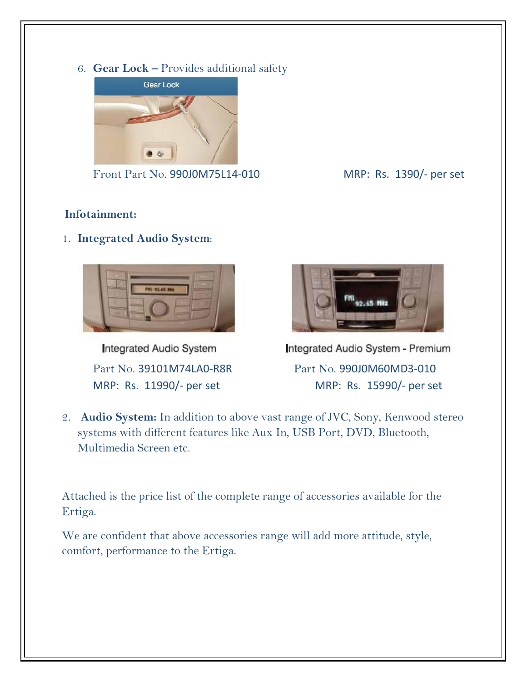6. **Gear Lock –** Provides additional safety



Front Part No. 990J0M75L14-010 MRP: Rs. 1390/- per set

### **Infotainment:**

1. **Integrated Audio System**:



Integrated Audio System



Integrated Audio System - Premium Part No. 39101M74LA0-R8R Part No. 990J0M60MD3-010 MRP: Rs. 11990/- per set MRP: Rs. 15990/- per set

2. **Audio System:** In addition to above vast range of JVC, Sony, Kenwood stereo systems with different features like Aux In, USB Port, DVD, Bluetooth, Multimedia Screen etc.

Attached is the price list of the complete range of accessories available for the Ertiga.

We are confident that above accessories range will add more attitude, style, comfort, performance to the Ertiga.